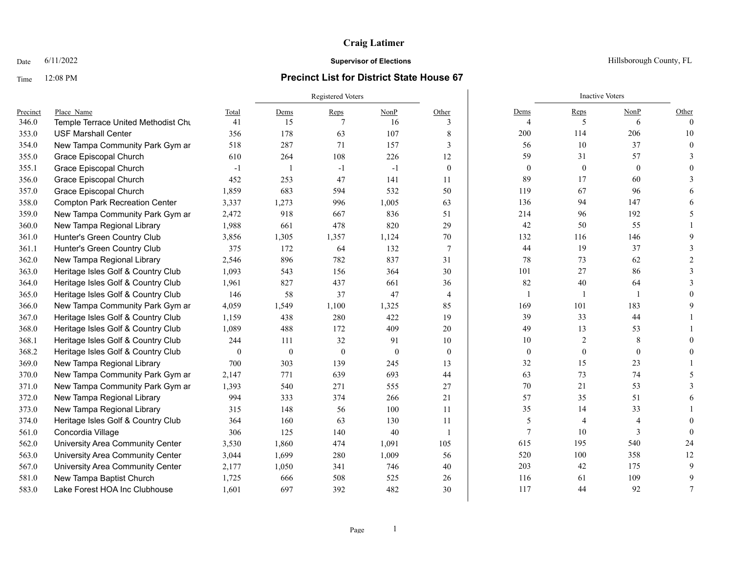### **Craig Latimer**

#### Time 12:08 PM **Precinct List for District State House 67**

Registered Voters **Inactive Voters** Inactive Voters **Inactive Voters** Precinct Place\_Name Total Dems Reps NonP Other Dems Reps NonP Other 346.0 Temple Terrace United Methodist Church 41 15 7 16 3 4 5 6 0 353.0 USF Marshall Center 356 178 63 107 8 | 200 114 206 10 354.0 New Tampa Community Park Gym ar 518 287 71 157 3 56 10 37 0 355.0 Grace Episcopal Church 610 264 108 226 12 59 31 57 3 355.1 Grace Episcopal Church -1 1 -1 -1 0 0 0 0 0 356.0 Grace Episcopal Church 452 253 47 141 11 89 17 60 3 357.0 Grace Episcopal Church 1,859 683 594 532 50 119 67 96 6 358.0 Compton Park Recreation Center 3,337 1,273 996 1,005 63 136 94 147 6 359.0 New Tampa Community Park Gym and Dance 2,472 918 667 836 51 214 96 192 5 360.0 New Tampa Regional Library 1,988 661 478 820 29 42 50 55 1 361.0 Hunter's Green Country Club 3,856 1,305 1,357 1,124 70 132 116 146 9 361.1 Hunter's Green Country Club 375 172 64 132 7 44 19 37 3 362.0 New Tampa Regional Library 2,546 896 782 837 31 78 73 62 2 363.0 Heritage Isles Golf & Country Club 1,093 543 156 364 30 101 27 86 3 364.0 Heritage Isles Golf & Country Club 1,961 827 437 661 36 82 40 64 3 365.0 Heritage Isles Golf & Country Club 146 58 37 47 4 1 1 1 1 0 366.0 New Tampa Community Park Gym ar  $4,059$   $1,549$   $1,100$   $1,325$   $85$   $169$   $169$   $101$   $183$  9 367.0 Heritage Isles Golf & Country Club 1,159 438 280 422 19 39 33 44 1 368.0 Heritage Isles Golf & Country Club 1,089 488 172 409 20 49 13 53 1 368.1 Heritage Isles Golf & Country Club 244 111 32 91 10 10 2 8 0 368.2 Heritage Isles Golf & Country Club 0 0 0 0 0 0 0 0 0 369.0 New Tampa Regional Library 100 303 139 245 13 32 15 23 1 370.0 New Tampa Community Park Gym and Dance 2,147 771 639 693 44 63 73 74 5 371.0 New Tampa Community Park Gym ar and 1,393 540 271 555 27 | 70 21 53 3 372.0 New Tampa Regional Library 394 333 374 266 21 37 37 37 375 51 6 373.0 New Tampa Regional Library 315 148 56 100 11 35 14 33 1 374.0 Heritage Isles Golf & Country Club 364 160 63 130 11 30 5 4 4 4 0 561.0 Concordia Village 306 125 140 40 1 7 10 3 0 562.0 University Area Community Center 3,530 1,860 474 1,091 105 615 195 540 24 563.0 University Area Community Center 3,044 1,699 280 1,009 56 520 100 358 12 567.0 University Area Community Center 2,177 1,050 341 746 40 203 42 175 9 581.0 New Tampa Baptist Church 1,725 666 508 525 26 116 61 109 9 583.0 Lake Forest HOA Inc Clubhouse 1.601 697 392 482 30 117 44 92 7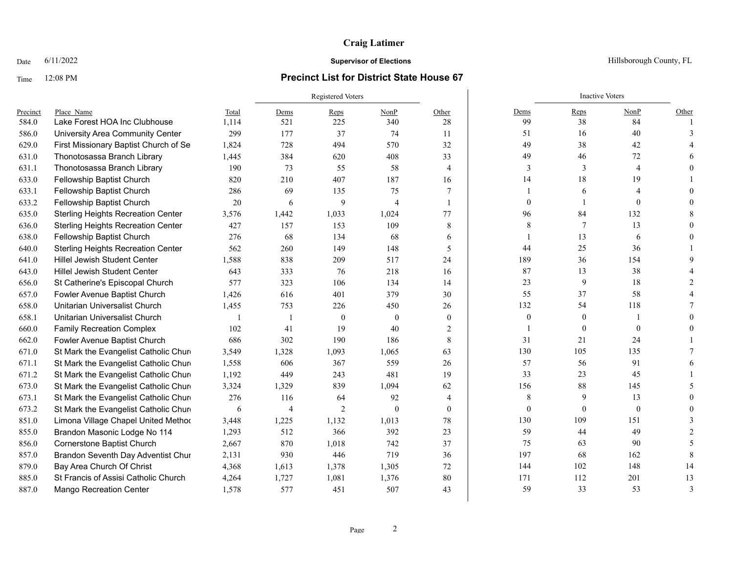## **Craig Latimer**

### Time 12:08 PM **Precinct List for District State House 67**

|          |                                           |                | <b>Registered Voters</b> |                |                |                |                | <b>Inactive Voters</b> |                |               |
|----------|-------------------------------------------|----------------|--------------------------|----------------|----------------|----------------|----------------|------------------------|----------------|---------------|
| Precinct | Place Name                                | Total          | Dems                     | Reps           | NonP           | Other          | Dems           | Reps                   | NonP           | Other         |
| 584.0    | Lake Forest HOA Inc Clubhouse             | 1,114          | 521                      | 225            | 340            | 28             | 99             | 38                     | 84             |               |
| 586.0    | University Area Community Center          | 299            | 177                      | 37             | 74             | 11             | 51             | 16                     | 40             |               |
| 629.0    | First Missionary Baptist Church of Se     | 1,824          | 728                      | 494            | 570            | 32             | 49             | 38                     | 42             |               |
| 631.0    | Thonotosassa Branch Library               | 1,445          | 384                      | 620            | 408            | 33             | 49             | 46                     | 72             |               |
| 631.1    | Thonotosassa Branch Library               | 190            | 73                       | 55             | 58             | $\overline{4}$ | 3              | 3                      | $\overline{4}$ |               |
| 633.0    | Fellowship Baptist Church                 | 820            | 210                      | 407            | 187            | 16             | 14             | 18                     | 19             |               |
| 633.1    | Fellowship Baptist Church                 | 286            | 69                       | 135            | 75             | 7              |                | 6                      |                |               |
| 633.2    | Fellowship Baptist Church                 | 20             | 6                        | 9              | $\overline{4}$ |                | $\theta$       |                        | $\Omega$       |               |
| 635.0    | <b>Sterling Heights Recreation Center</b> | 3,576          | 1,442                    | 1,033          | 1,024          | 77             | 96             | 84                     | 132            |               |
| 636.0    | <b>Sterling Heights Recreation Center</b> | 427            | 157                      | 153            | 109            | 8              | 8              | 7                      | 13             |               |
| 638.0    | Fellowship Baptist Church                 | 276            | 68                       | 134            | 68             | 6              |                | 13                     | 6              |               |
| 640.0    | <b>Sterling Heights Recreation Center</b> | 562            | 260                      | 149            | 148            | 5              | 44             | 25                     | 36             |               |
| 641.0    | <b>Hillel Jewish Student Center</b>       | 1,588          | 838                      | 209            | 517            | 24             | 189            | 36                     | 154            |               |
| 643.0    | <b>Hillel Jewish Student Center</b>       | 643            | 333                      | 76             | 218            | 16             | 87             | 13                     | 38             |               |
| 656.0    | St Catherine's Episcopal Church           | 577            | 323                      | 106            | 134            | 14             | 23             | 9                      | 18             |               |
| 657.0    | Fowler Avenue Baptist Church              | 1,426          | 616                      | 401            | 379            | 30             | 55             | 37                     | 58             |               |
| 658.0    | Unitarian Universalist Church             | 1,455          | 753                      | 226            | 450            | 26             | 132            | 54                     | 118            |               |
| 658.1    | Unitarian Universalist Church             | $\overline{1}$ |                          | $\theta$       | $\theta$       | $\theta$       | $\overline{0}$ | $\mathbf{0}$           |                |               |
| 660.0    | <b>Family Recreation Complex</b>          | 102            | 41                       | 19             | 40             | 2              |                | $\mathbf{0}$           | $\mathbf{0}$   |               |
| 662.0    | Fowler Avenue Baptist Church              | 686            | 302                      | 190            | 186            | 8              | 31             | 21                     | 24             |               |
| 671.0    | St Mark the Evangelist Catholic Chure     | 3,549          | 1,328                    | 1,093          | 1,065          | 63             | 130            | 105                    | 135            |               |
| 671.1    | St Mark the Evangelist Catholic Churd     | 1,558          | 606                      | 367            | 559            | 26             | 57             | 56                     | 91             |               |
| 671.2    | St Mark the Evangelist Catholic Chure     | 1.192          | 449                      | 243            | 481            | 19             | 33             | 23                     | 45             |               |
| 673.0    | St Mark the Evangelist Catholic Chure     | 3,324          | 1,329                    | 839            | 1,094          | 62             | 156            | 88                     | 145            |               |
| 673.1    | St Mark the Evangelist Catholic Chure     | 276            | 116                      | 64             | 92             | 4              | 8              | 9                      | 13             |               |
| 673.2    | St Mark the Evangelist Catholic Chure     | 6              | 4                        | $\overline{2}$ | $\theta$       | $\theta$       | $\overline{0}$ | $\Omega$               | $\mathbf{0}$   |               |
| 851.0    | Limona Village Chapel United Method       | 3,448          | 1,225                    | 1,132          | 1,013          | 78             | 130            | 109                    | 151            |               |
| 855.0    | Brandon Masonic Lodge No 114              | 1,293          | 512                      | 366            | 392            | 23             | 59             | 44                     | 49             |               |
| 856.0    | Cornerstone Baptist Church                | 2,667          | 870                      | 1,018          | 742            | 37             | 75             | 63                     | 90             |               |
| 857.0    | Brandon Seventh Day Adventist Chur        | 2,131          | 930                      | 446            | 719            | 36             | 197            | 68                     | 162            |               |
| 879.0    | Bay Area Church Of Christ                 | 4,368          | 1,613                    | 1,378          | 1,305          | 72             | 144            | 102                    | 148            | 14            |
| 885.0    | St Francis of Assisi Catholic Church      | 4,264          | 1,727                    | 1,081          | 1,376          | 80             | 171            | 112                    | 201            | 13            |
| 887.0    | <b>Mango Recreation Center</b>            | 1,578          | 577                      | 451            | 507            | 43             | 59             | 33                     | 53             | $\mathcal{E}$ |

Date  $6/11/2022$  Hillsborough County, FL